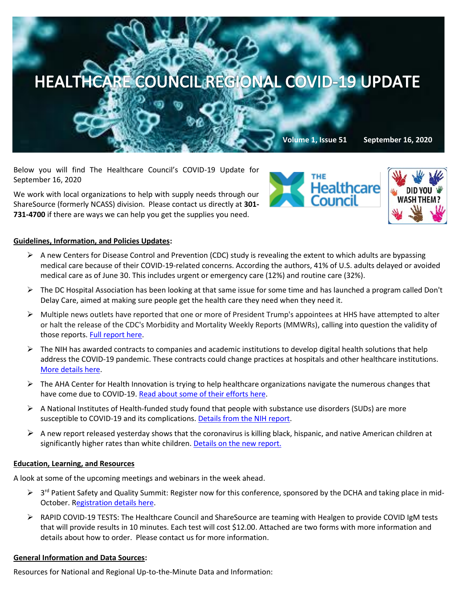

Below you will find The Healthcare Council's COVID-19 Update for September 16, 2020

We work with local organizations to help with supply needs through our ShareSource (formerly NCASS) division. Please contact us directly at **301- 731-4700** if there are ways we can help you get the supplies you need.





## **Guidelines, Information, and Policies Updates:**

- $\triangleright$  A new Centers for Disease Control and Prevention (CDC) study is revealing the extent to which adults are bypassing medical care because of their COVID-19-related concerns. According the authors, 41% of U.S. adults delayed or avoided medical care as of June 30. This includes urgent or emergency care (12%) and routine care (32%).
- $\triangleright$  The DC Hospital Association has been looking at that same issue for some time and has launched a program called Don't [Delay Care,](https://www.dcha.org/quality-safety/dontdelaycare) aimed at making sure people get the health care they need when they need it.
- ➢ Multiple news outlets have reported that one or more of President Trump's appointees at HHS have attempted to alter or halt the release of the CDC's Morbidity and Mortality Weekly Reports (MMWRs), calling into question the validity of those reports[. Full report here.](https://www.cbsnews.com/news/democrats-investigation-cdc-political-interference/)
- $\triangleright$  The NIH has awarded contracts to companies and academic institutions to develop digital health solutions that help address the COVID-19 pandemic. These contracts could change practices at hospitals and other healthcare institutions. [More details here.](https://www.nih.gov/news-events/news-releases/nih-awards-contracts-develop-innovative-digital-health-technologies-covid-19)
- $\triangleright$  The AHA Center for Health Innovation is trying to help healthcare organizations navigate the numerous changes that have come due to COVID-19[. Read about some of their efforts here.](https://www.aha.org/center?utm_source=newsletter&utm_medium=email&utm_content=09152020-ms-innovation&utm_campaign=aha-innovation-center)
- $\triangleright$  A National Institutes of Health-funded study found that people with substance use disorders (SUDs) are more susceptible to COVID-19 and its complications. [Details from the NIH report.](https://www.nih.gov/news-events/news-releases/substance-use-disorders-linked-covid-19-susceptibility)
- $\triangleright$  A new report released yesterday shows that the coronavirus is killing black, hispanic, and native American children at significantly higher rates than white children. [Details on the new report.](https://www.washingtonpost.com/health/2020/09/15/covid-deaths-hispanic-black-children/)

## **Education, Learning, and Resources**

A look at some of the upcoming meetings and webinars in the week ahead.

- > 3<sup>rd</sup> Patient Safety and Quality Summit: Register now for this conference, sponsored by the DCHA and taking place in mid-October. [Registration details here.](https://www.dcha.org/education-events/summit)
- ➢ RAPID COVID-19 TESTS: The Healthcare Council and ShareSource are teaming with Healgen to provide COVID IgM tests that will provide results in 10 minutes. Each test will cost \$12.00. Attached are two forms with more information and details about how to order. Please contact us for more information.

## **General Information and Data Sources:**

Resources for National and Regional Up-to-the-Minute Data and Information: